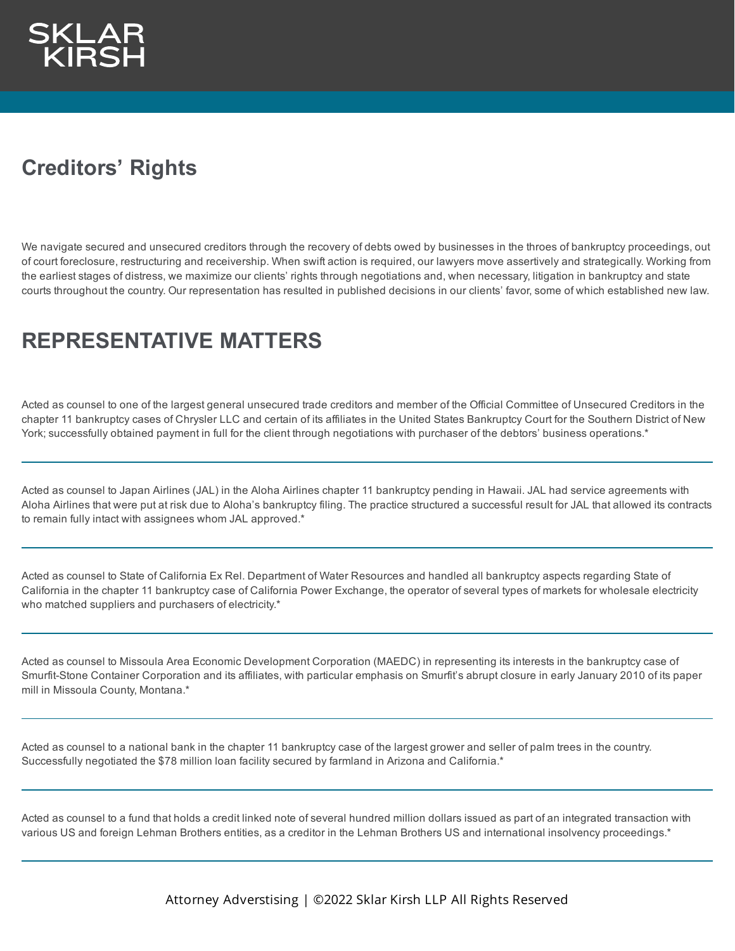## **Creditors' Rights**

We navigate secured and unsecured creditors through the recovery of debts owed by businesses in the throes of bankruptcy proceedings, out of court foreclosure, restructuring and receivership. When swift action is required, our lawyers move assertively and strategically. Working from the earliest stages of distress, we maximize our clients' rights through negotiations and, when necessary, litigation in bankruptcy and state courts throughout the country. Our representation has resulted in published decisions in our clients' favor, some of which established new law.

## **REPRESENTATIVE MATTERS**

Acted as counsel to one of the largest general unsecured trade creditors and member of the Official Committee of Unsecured Creditors in the chapter 11 bankruptcy cases of Chrysler LLC and certain of its affiliates in the United States Bankruptcy Court for the Southern District of New York; successfully obtained payment in full for the client through negotiations with purchaser of the debtors' business operations.\*

Acted as counsel to Japan Airlines (JAL) in the Aloha Airlines chapter 11 bankruptcy pending in Hawaii. JAL had service agreements with Aloha Airlines that were put at risk due to Aloha's bankruptcy filing. The practice structured a successful result for JAL that allowed its contracts to remain fully intact with assignees whom JAL approved.\*

Acted as counsel to State of California Ex Rel. Department of Water Resources and handled all bankruptcy aspects regarding State of California in the chapter 11 bankruptcy case of California Power Exchange, the operator of several types of markets for wholesale electricity who matched suppliers and purchasers of electricity.\*

Acted as counsel to Missoula Area Economic Development Corporation (MAEDC) in representing its interests in the bankruptcy case of Smurfit-Stone Container Corporation and its affiliates, with particular emphasis on Smurfit's abrupt closure in early January 2010 of its paper mill in Missoula County, Montana.\*

Acted as counsel to a national bank in the chapter 11 bankruptcy case of the largest grower and seller of palm trees in the country. Successfully negotiated the \$78 million loan facility secured by farmland in Arizona and California.\*

Acted as counsel to a fund that holds a credit linked note of several hundred million dollars issued as part of an integrated transaction with various US and foreign Lehman Brothers entities, as a creditor in the Lehman Brothers US and international insolvency proceedings.\*